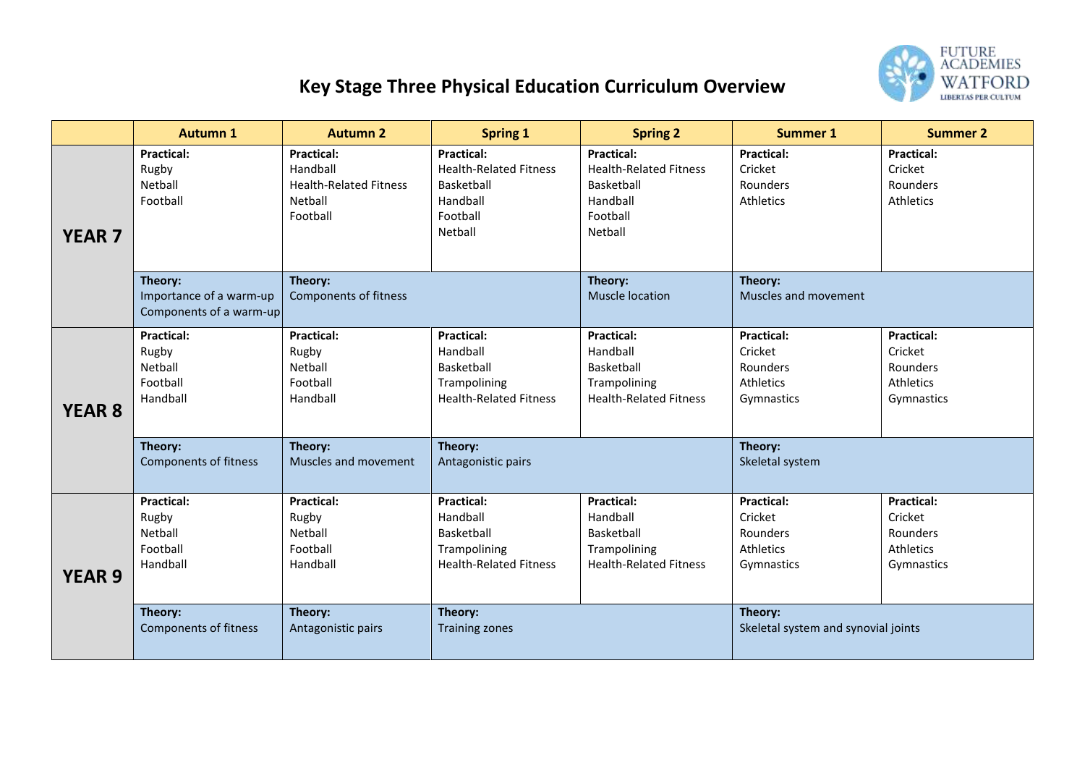

## **Key Stage Three Physical Education Curriculum Overview**

|               | <b>Autumn 1</b>                                               | <b>Autumn 2</b>                                                                       | <b>Spring 1</b>                                                                                     | <b>Spring 2</b>                                                                                            | <b>Summer 1</b>                                                     | <b>Summer 2</b>                                                     |
|---------------|---------------------------------------------------------------|---------------------------------------------------------------------------------------|-----------------------------------------------------------------------------------------------------|------------------------------------------------------------------------------------------------------------|---------------------------------------------------------------------|---------------------------------------------------------------------|
| <b>YEAR 7</b> | <b>Practical:</b><br>Rugby<br>Netball<br>Football             | <b>Practical:</b><br>Handball<br><b>Health-Related Fitness</b><br>Netball<br>Football | <b>Practical:</b><br><b>Health-Related Fitness</b><br>Basketball<br>Handball<br>Football<br>Netball | <b>Practical:</b><br><b>Health-Related Fitness</b><br><b>Basketball</b><br>Handball<br>Football<br>Netball | <b>Practical:</b><br>Cricket<br><b>Rounders</b><br>Athletics        | <b>Practical:</b><br>Cricket<br>Rounders<br>Athletics               |
|               | Theory:<br>Importance of a warm-up<br>Components of a warm-up | Theory:<br><b>Components of fitness</b>                                               |                                                                                                     | Theory:<br><b>Muscle location</b>                                                                          | Theory:<br>Muscles and movement                                     |                                                                     |
| <b>YEAR 8</b> | <b>Practical:</b><br>Rugby<br>Netball<br>Football<br>Handball | <b>Practical:</b><br>Rugby<br>Netball<br>Football<br>Handball                         | <b>Practical:</b><br>Handball<br>Basketball<br>Trampolining<br><b>Health-Related Fitness</b>        | <b>Practical:</b><br>Handball<br><b>Basketball</b><br>Trampolining<br><b>Health-Related Fitness</b>        | <b>Practical:</b><br>Cricket<br>Rounders<br>Athletics<br>Gymnastics | <b>Practical:</b><br>Cricket<br>Rounders<br>Athletics<br>Gymnastics |
|               | Theory:<br><b>Components of fitness</b>                       | Theory:<br>Muscles and movement                                                       | Theory:<br>Antagonistic pairs                                                                       |                                                                                                            | Theory:<br>Skeletal system                                          |                                                                     |
| <b>YEAR 9</b> | <b>Practical:</b><br>Rugby<br>Netball<br>Football<br>Handball | <b>Practical:</b><br>Rugby<br>Netball<br>Football<br>Handball                         | <b>Practical:</b><br>Handball<br>Basketball<br>Trampolining<br><b>Health-Related Fitness</b>        | <b>Practical:</b><br>Handball<br>Basketball<br>Trampolining<br><b>Health-Related Fitness</b>               | <b>Practical:</b><br>Cricket<br>Rounders<br>Athletics<br>Gymnastics | <b>Practical:</b><br>Cricket<br>Rounders<br>Athletics<br>Gymnastics |
|               | Theory:<br><b>Components of fitness</b>                       | Theory:<br>Antagonistic pairs                                                         | Theory:<br><b>Training zones</b>                                                                    |                                                                                                            | Theory:<br>Skeletal system and synovial joints                      |                                                                     |